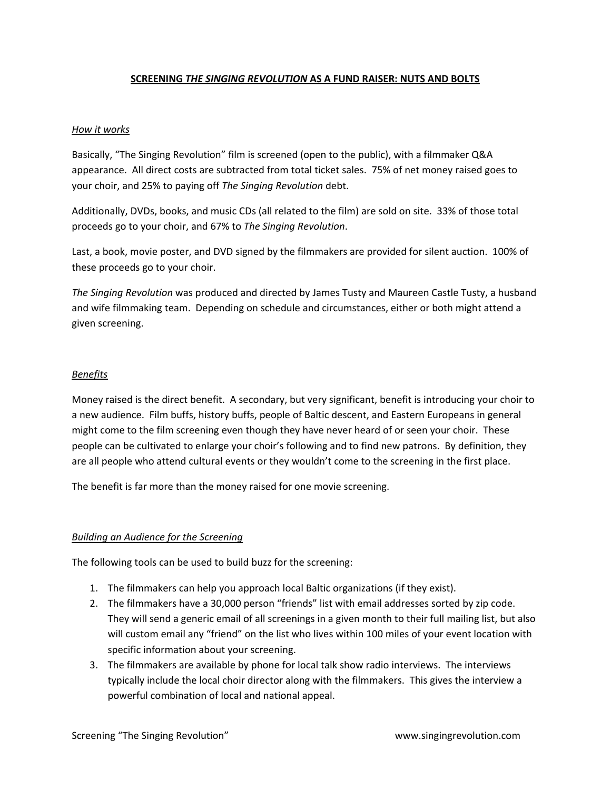# **SCREENING** *THE SINGING REVOLUTION* **AS A FUND RAISER: NUTS AND BOLTS**

#### *How it works*

Basically, "The Singing Revolution" film is screened (open to the public), with a filmmaker Q&A appearance. All direct costs are subtracted from total ticket sales. 75% of net money raised goes to your choir, and 25% to paying off *The Singing Revolution* debt.

Additionally, DVDs, books, and music CDs (all related to the film) are sold on site. 33% of those total proceeds go to your choir, and 67% to *The Singing Revolution*.

Last, a book, movie poster, and DVD signed by the filmmakers are provided for silent auction. 100% of these proceeds go to your choir.

*The Singing Revolution* was produced and directed by James Tusty and Maureen Castle Tusty, a husband and wife filmmaking team. Depending on schedule and circumstances, either or both might attend a given screening.

#### *Benefits*

Money raised is the direct benefit. A secondary, but very significant, benefit is introducing your choir to a new audience. Film buffs, history buffs, people of Baltic descent, and Eastern Europeans in general might come to the film screening even though they have never heard of or seen your choir. These people can be cultivated to enlarge your choir's following and to find new patrons. By definition, they are all people who attend cultural events or they wouldn't come to the screening in the first place.

The benefit is far more than the money raised for one movie screening.

### *Building an Audience for the Screening*

The following tools can be used to build buzz for the screening:

- 1. The filmmakers can help you approach local Baltic organizations (if they exist).
- 2. The filmmakers have a 30,000 person "friends" list with email addresses sorted by zip code. They will send a generic email of all screenings in a given month to their full mailing list, but also will custom email any "friend" on the list who lives within 100 miles of your event location with specific information about your screening.
- 3. The filmmakers are available by phone for local talk show radio interviews. The interviews typically include the local choir director along with the filmmakers. This gives the interview a powerful combination of local and national appeal.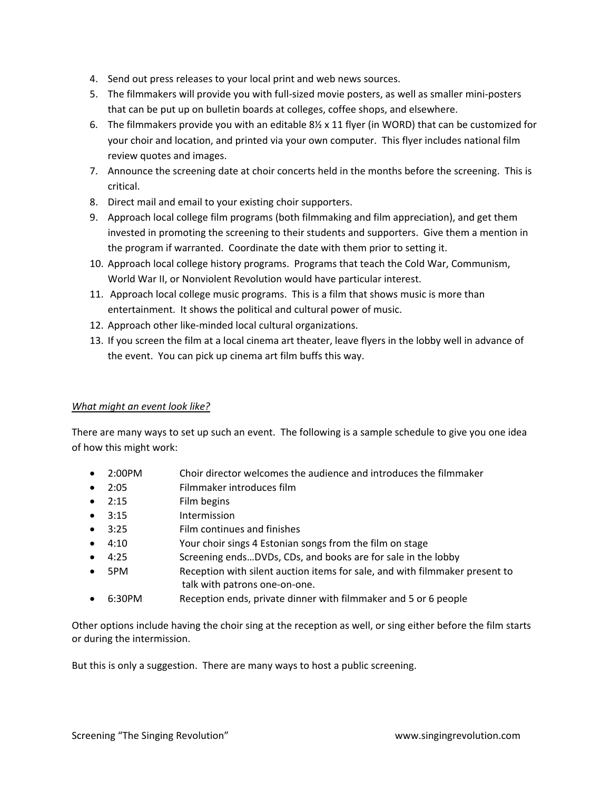- 4. Send out press releases to your local print and web news sources.
- 5. The filmmakers will provide you with full-sized movie posters, as well as smaller mini-posters that can be put up on bulletin boards at colleges, coffee shops, and elsewhere.
- 6. The filmmakers provide you with an editable  $8\frac{1}{2}$  x 11 flyer (in WORD) that can be customized for your choir and location, and printed via your own computer. This flyer includes national film review quotes and images.
- 7. Announce the screening date at choir concerts held in the months before the screening. This is critical.
- 8. Direct mail and email to your existing choir supporters.
- 9. Approach local college film programs (both filmmaking and film appreciation), and get them invested in promoting the screening to their students and supporters. Give them a mention in the program if warranted. Coordinate the date with them prior to setting it.
- 10. Approach local college history programs. Programs that teach the Cold War, Communism, World War II, or Nonviolent Revolution would have particular interest.
- 11. Approach local college music programs. This is a film that shows music is more than entertainment. It shows the political and cultural power of music.
- 12. Approach other like-minded local cultural organizations.
- 13. If you screen the film at a local cinema art theater, leave flyers in the lobby well in advance of the event. You can pick up cinema art film buffs this way.

# *What might an event look like?*

There are many ways to set up such an event. The following is a sample schedule to give you one idea of how this might work:

- 2:00PM Choir director welcomes the audience and introduces the filmmaker
- 2:05 Filmmaker introduces film
- 2:15 Film begins
- 3:15 Intermission
- 3:25 Film continues and finishes
- 4:10 Your choir sings 4 Estonian songs from the film on stage
- 4:25 Screening ends...DVDs, CDs, and books are for sale in the lobby
- 5PM Reception with silent auction items for sale, and with filmmaker present to talk with patrons one‐on‐one.
- 6:30PM Reception ends, private dinner with filmmaker and 5 or 6 people

Other options include having the choir sing at the reception as well, or sing either before the film starts or during the intermission.

But this is only a suggestion. There are many ways to host a public screening.